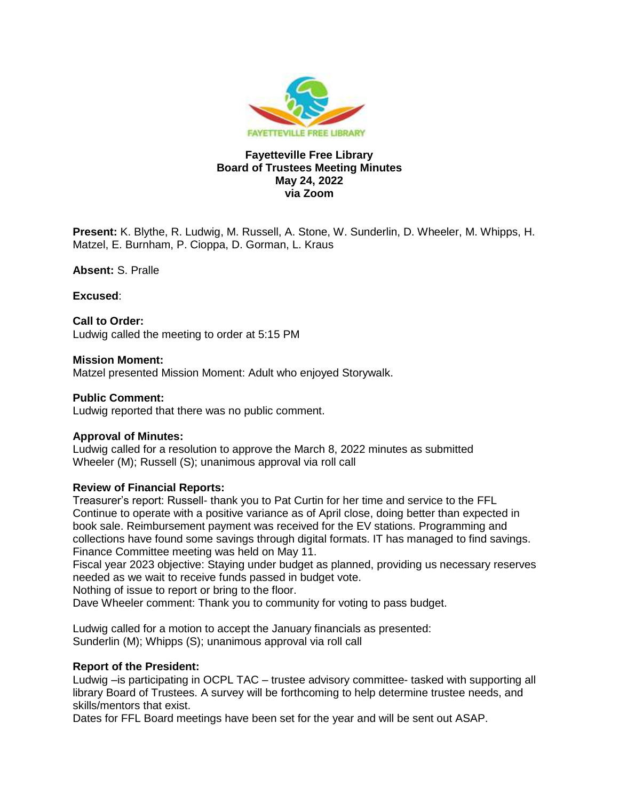

# **Fayetteville Free Library Board of Trustees Meeting Minutes May 24, 2022 via Zoom**

**Present:** K. Blythe, R. Ludwig, M. Russell, A. Stone, W. Sunderlin, D. Wheeler, M. Whipps, H. Matzel, E. Burnham, P. Cioppa, D. Gorman, L. Kraus

**Absent:** S. Pralle

**Excused**:

#### **Call to Order:**

Ludwig called the meeting to order at 5:15 PM

#### **Mission Moment:**

Matzel presented Mission Moment: Adult who enjoyed Storywalk.

## **Public Comment:**

Ludwig reported that there was no public comment.

#### **Approval of Minutes:**

Ludwig called for a resolution to approve the March 8, 2022 minutes as submitted Wheeler (M); Russell (S); unanimous approval via roll call

#### **Review of Financial Reports:**

Treasurer's report: Russell- thank you to Pat Curtin for her time and service to the FFL Continue to operate with a positive variance as of April close, doing better than expected in book sale. Reimbursement payment was received for the EV stations. Programming and collections have found some savings through digital formats. IT has managed to find savings. Finance Committee meeting was held on May 11.

Fiscal year 2023 objective: Staying under budget as planned, providing us necessary reserves needed as we wait to receive funds passed in budget vote.

Nothing of issue to report or bring to the floor.

Dave Wheeler comment: Thank you to community for voting to pass budget.

Ludwig called for a motion to accept the January financials as presented: Sunderlin (M); Whipps (S); unanimous approval via roll call

#### **Report of the President:**

Ludwig – is participating in OCPL TAC – trustee advisory committee- tasked with supporting all library Board of Trustees. A survey will be forthcoming to help determine trustee needs, and skills/mentors that exist.

Dates for FFL Board meetings have been set for the year and will be sent out ASAP.